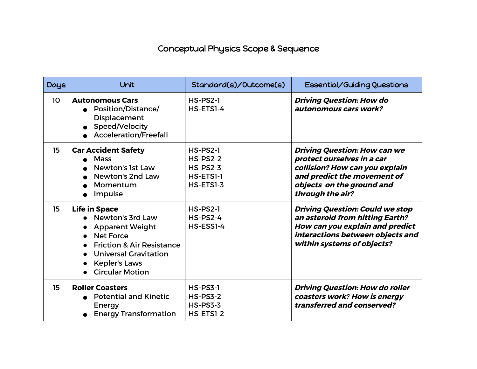## Conceptual Physics Scope & Sequence

| <b>Days</b>     | Unit                                                                                                                                                                                                             | Standard(s)/Outcome(s)                                                          | Essential/Guiding Questions                                                                                                                                                         |
|-----------------|------------------------------------------------------------------------------------------------------------------------------------------------------------------------------------------------------------------|---------------------------------------------------------------------------------|-------------------------------------------------------------------------------------------------------------------------------------------------------------------------------------|
| 10 <sup>°</sup> | <b>Autonomous Cars</b><br>Position/Distance/<br><b>Displacement</b><br>Speed/Velocity<br><b>Acceleration/Freefall</b>                                                                                            | $HS-PS2-1$<br>HS-ETSI-4                                                         | <b>Driving Question: How do</b><br>autonomous cars work?                                                                                                                            |
| 15              | <b>Car Accident Safety</b><br><b>Mass</b><br>Newton's 1st Law<br>Newton's 2nd Law<br>Momentum<br>Impulse                                                                                                         | <b>HS-PS2-1</b><br><b>HS-PS2-2</b><br><b>HS-PS2-3</b><br>HS-ETSI-1<br>HS-ETS1-3 | <b>Driving Question: How can we</b><br>protect ourselves in a car<br>collision? How can you explain<br>and predict the movement of<br>objects on the ground and<br>through the air? |
| 15              | <b>Life in Space</b><br>Newton's 3rd Law<br><b>Apparent Weight</b><br><b>Net Force</b><br><b>Friction &amp; Air Resistance</b><br><b>Universal Gravitation</b><br><b>Kepler's Laws</b><br><b>Circular Motion</b> | <b>HS-PS2-1</b><br>$HS-PS2-4$<br>HS-ESS1-4                                      | <b>Driving Question: Could we stop</b><br>an asteroid from hitting Earth?<br>How can you explain and predict<br>interactions between objects and<br>within systems of objects?      |
| 15              | <b>Roller Coasters</b><br>• Potential and Kinetic<br>Energy<br><b>Energy Transformation</b>                                                                                                                      | $HS-PS3-1$<br><b>HS-PS3-2</b><br><b>HS-PS3-3</b><br>HS-ETSI-2                   | <b>Driving Question: How do roller</b><br>coasters work? How is energy<br>transferred and conserved?                                                                                |